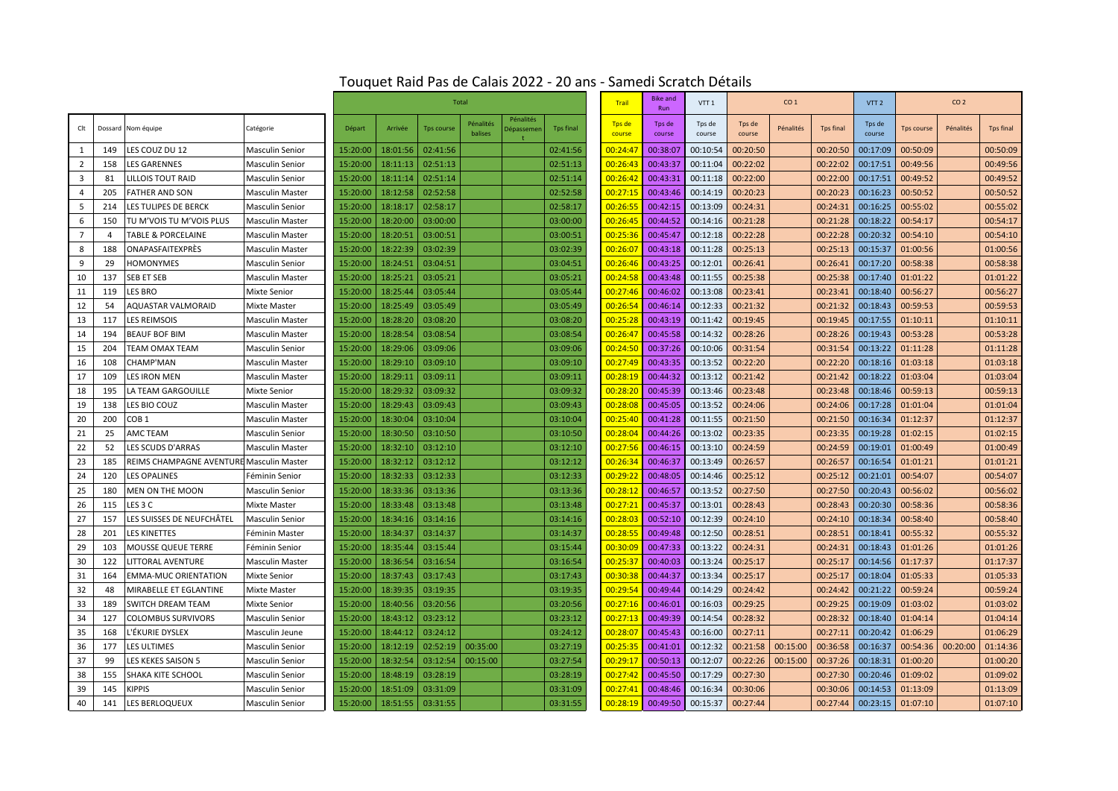|                |     |                                          |                        | <b>Total</b> |          |                   |                      |                         |                  | <b>Trail</b>     | <b>Bike and</b><br>Run | VTT <sub>1</sub> | CO <sub>1</sub>  |           |                  | VTT <sub>2</sub> | CO <sub>2</sub> |           |                  |
|----------------|-----|------------------------------------------|------------------------|--------------|----------|-------------------|----------------------|-------------------------|------------------|------------------|------------------------|------------------|------------------|-----------|------------------|------------------|-----------------|-----------|------------------|
| Clt            |     | Dossard Nom équipe                       | Catégorie              | Départ       | Arrivée  | <b>Tps course</b> | Pénalités<br>balises | Pénalités<br>)épassemer | <b>Tps final</b> | Tps de<br>course | Tps de<br>course       | Tps de<br>course | Tps de<br>course | Pénalités | <b>Tps final</b> | Tps de<br>course | Tps course      | Pénalités | <b>Tps final</b> |
| 1              | 149 | LES COUZ DU 12                           | <b>Masculin Senior</b> | 15:20:00     | 18:01:56 | 02:41:56          |                      |                         | 02:41:56         | 00:24:47         | 00:38:07               | 00:10:54         | 00:20:50         |           | 00:20:50         | 00:17:09         | 00:50:09        |           | 00:50:09         |
| 2              | 158 | <b>LES GARENNES</b>                      | <b>Masculin Senior</b> | 15:20:00     | 18:11:13 | 02:51:13          |                      |                         | 02:51:13         | 00:26:43         | 00:43:37               | 00:11:04         | 00:22:02         |           | 00:22:02         | 00:17:51         | 00:49:56        |           | 00:49:56         |
| $\overline{3}$ | 81  | LILLOIS TOUT RAID                        | <b>Masculin Senior</b> | 15:20:00     | 18:11:14 | 02:51:14          |                      |                         | 02:51:14         | 00:26:42         | 00:43:31               | 00:11:18         | 00:22:00         |           | 00:22:00         | 00:17:51         | 00:49:52        |           | 00:49:52         |
| $\overline{4}$ | 205 | <b>FATHER AND SON</b>                    | <b>Masculin Master</b> | 15:20:00     | 18:12:58 | 02:52:58          |                      |                         | 02:52:58         | 00:27:1!         | 00:43:46               | 00:14:19         | 00:20:23         |           | 00:20:23         | 00:16:23         | 00:50:52        |           | 00:50:52         |
| 5              | 214 | LES TULIPES DE BERCK                     | <b>Masculin Senior</b> | 15:20:00     | 18:18:17 | 02:58:17          |                      |                         | 02:58:17         | 00:26:55         | 00:42:15               | 00:13:09         | 00:24:31         |           | 00:24:31         | 00:16:25         | 00:55:02        |           | 00:55:02         |
| 6              | 150 | TU M'VOIS TU M'VOIS PLUS                 | <b>Masculin Master</b> | 15:20:00     | 18:20:00 | 03:00:00          |                      |                         | 03:00:00         | 00:26:45         | 00:44:52               | 00:14:16         | 00:21:28         |           | 00:21:28         | 00:18:22         | 00:54:17        |           | 00:54:17         |
| $\overline{7}$ | 4   | <b>TABLE &amp; PORCELAINE</b>            | <b>Masculin Master</b> | 15:20:00     | 18:20:51 | 03:00:51          |                      |                         | 03:00:51         | 00:25:36         | 00:45:47               | 00:12:18         | 00:22:28         |           | 00:22:28         | 00:20:32         | 00:54:10        |           | 00:54:10         |
| 8              | 188 | <b>ONAPASFAITEXPRÈS</b>                  | <b>Masculin Master</b> | 15:20:00     | 18:22:39 | 03:02:39          |                      |                         | 03:02:39         | 00:26:07         | 00:43:18               | 00:11:28         | 00:25:13         |           | 00:25:13         | 00:15:37         | 01:00:56        |           | 01:00:56         |
| 9              | 29  | <b>HOMONYMES</b>                         | <b>Masculin Senior</b> | 15:20:00     | 18:24:51 | 03:04:51          |                      |                         | 03:04:51         | 00:26:46         | 00:43:25               | 00:12:01         | 00:26:41         |           | 00:26:41         | 00:17:20         | 00:58:38        |           | 00:58:38         |
| 10             | 137 | SEB ET SEB                               | <b>Masculin Master</b> | 15:20:00     | 18:25:21 | 03:05:21          |                      |                         | 03:05:21         | 00:24:58         | 00:43:48               | 00:11:55         | 00:25:38         |           | 00:25:38         | 00:17:40         | 01:01:22        |           | 01:01:22         |
| 11             | 119 | LES BRO                                  | <b>Mixte Senior</b>    | 15:20:00     | 18:25:44 | 03:05:44          |                      |                         | 03:05:44         | 00:27:46         | 00:46:02               | 00:13:08         | 00:23:41         |           | 00:23:41         | 00:18:40         | 00:56:27        |           | 00:56:27         |
| 12             | 54  | AQUASTAR VALMORAID                       | Mixte Master           | 15:20:00     | 18:25:49 | 03:05:49          |                      |                         | 03:05:49         | 00:26:54         | 00:46:14               | 00:12:33         | 00:21:32         |           | 00:21:32         | 00:18:43         | 00:59:53        |           | 00:59:53         |
| 13             | 117 | <b>LES REIMSOIS</b>                      | <b>Masculin Master</b> | 15:20:00     | 18:28:20 | 03:08:20          |                      |                         | 03:08:20         | 00:25:28         | 00:43:19               | 00:11:42         | 00:19:45         |           | 00:19:45         | 00:17:55         | 01:10:11        |           | 01:10:11         |
| 14             | 194 | <b>BEAUF BOF BIM</b>                     | <b>Masculin Master</b> | 15:20:00     | 18:28:54 | 03:08:54          |                      |                         | 03:08:54         | 00:26:47         | 00:45:58               | 00:14:32         | 00:28:26         |           | 00:28:26         | 00:19:43         | 00:53:28        |           | 00:53:28         |
| 15             | 204 | <b>TEAM OMAX TEAM</b>                    | <b>Masculin Senior</b> | 15:20:00     | 18:29:06 | 03:09:06          |                      |                         | 03:09:06         | 00:24:50         | 00:37:26               | 00:10:06         | 00:31:54         |           | 00:31:54         | 00:13:22         | 01:11:28        |           | 01:11:28         |
| 16             | 108 | CHAMP'MAN                                | <b>Masculin Master</b> | 15:20:00     | 18:29:10 | 03:09:10          |                      |                         | 03:09:10         | 00:27:49         | 00:43:35               | 00:13:52         | 00:22:20         |           | 00:22:20         | 00:18:16         | 01:03:18        |           | 01:03:18         |
| 17             | 109 | LES IRON MEN                             | <b>Masculin Master</b> | 15:20:00     | 18:29:11 | 03:09:11          |                      |                         | 03:09:11         | 00:28:19         | 00:44:32               | 00:13:12         | 00:21:42         |           | 00:21:42         | 00:18:22         | 01:03:04        |           | 01:03:04         |
| 18             | 195 | LA TEAM GARGOUILLE                       | <b>Mixte Senior</b>    | 15:20:00     | 18:29:32 | 03:09:32          |                      |                         | 03:09:32         | 00:28:20         | 00:45:39               | 00:13:46         | 00:23:48         |           | 00:23:48         | 00:18:46         | 00:59:13        |           | 00:59:13         |
| 19             | 138 | LES BIO COUZ                             | <b>Masculin Master</b> | 15:20:00     | 18:29:43 | 03:09:43          |                      |                         | 03:09:43         | 00:28:08         | 00:45:05               | 00:13:52         | 00:24:06         |           | 00:24:06         | 00:17:28         | 01:01:04        |           | 01:01:04         |
| 20             | 200 | COB <sub>1</sub>                         | <b>Masculin Master</b> | 15:20:00     | 18:30:04 | 03:10:04          |                      |                         | 03:10:04         | 00:25:40         | 00:41:28               | 00:11:55         | 00:21:50         |           | 00:21:50         | 00:16:34         | 01:12:37        |           | 01:12:37         |
| 21             | 25  | AMC TEAM                                 | <b>Masculin Senior</b> | 15:20:00     | 18:30:50 | 03:10:50          |                      |                         | 03:10:50         | 00:28:0          | 00:44:26               | 00:13:02         | 00:23:35         |           | 00:23:35         | 00:19:28         | 01:02:15        |           | 01:02:15         |
| 22             | 52  | LES SCUDS D'ARRAS                        | <b>Masculin Master</b> | 15:20:00     | 18:32:10 | 03:12:10          |                      |                         | 03:12:10         | 00:27:56         | 00:46:15               | 00:13:10         | 00:24:59         |           | 00:24:59         | 00:19:01         | 01:00:49        |           | 01:00:49         |
| 23             | 185 | REIMS CHAMPAGNE AVENTURE Masculin Master |                        | 15:20:00     | 18:32:12 | 03:12:12          |                      |                         | 03:12:12         | 00:26:34         | 00:46:37               | 00:13:49         | 00:26:57         |           | 00:26:57         | 00:16:54         | 01:01:21        |           | 01:01:21         |
| 24             | 120 | LES OPALINES                             | Féminin Senior         | 15:20:00     | 18:32:33 | 03:12:33          |                      |                         | 03:12:33         | 00:29:22         | 00:48:05               | 00:14:46         | 00:25:12         |           | 00:25:12         | 00:21:01         | 00:54:07        |           | 00:54:07         |
| 25             | 180 | MEN ON THE MOON                          | <b>Masculin Senior</b> | 15:20:00     | 18:33:36 | 03:13:36          |                      |                         | 03:13:36         | 00:28:1          | 00:46:57               | 00:13:52         | 00:27:50         |           | 00:27:50         | 00:20:43         | 00:56:02        |           | 00:56:02         |
| 26             | 115 | LES 3 C                                  | Mixte Master           | 15:20:00     | 18:33:48 | 03:13:48          |                      |                         | 03:13:48         | 00:27:22         | 00:45:37               | 00:13:01         | 00:28:43         |           | 00:28:43         | 00:20:30         | 00:58:36        |           | 00:58:36         |
| 27             | 157 | LES SUISSES DE NEUFCHÂTEL                | <b>Masculin Senior</b> | 15:20:00     | 18:34:16 | 03:14:16          |                      |                         | 03:14:16         | 00:28:03         | 00:52:10               | 00:12:39         | 00:24:10         |           | 00:24:10         | 00:18:34         | 00:58:40        |           | 00:58:40         |
| 28             | 201 | <b>LES KINETTES</b>                      | Féminin Master         | 15:20:00     | 18:34:37 | 03:14:37          |                      |                         | 03:14:37         | 00:28:5!         | 00:49:48               | 00:12:50         | 00:28:51         |           | 00:28:51         | 00:18:41         | 00:55:32        |           | 00:55:32         |
| 29             | 103 | <b>MOUSSE QUEUE TERRE</b>                | Féminin Senior         | 15:20:00     | 18:35:44 | 03:15:44          |                      |                         | 03:15:44         | 00:30:09         | 00:47:33               | 00:13:22         | 00:24:31         |           | 00:24:31         | 00:18:43         | 01:01:26        |           | 01:01:26         |
| 30             | 122 | LITTORAL AVENTURE                        | <b>Masculin Master</b> | 15:20:00     | 18:36:54 | 03:16:54          |                      |                         | 03:16:54         | 00:25:3          | 00:40:03               | 00:13:24         | 00:25:17         |           | 00:25:17         | 00:14:56         | 01:17:37        |           | 01:17:37         |
| 31             | 164 | <b>EMMA-MUC ORIENTATION</b>              | Mixte Senior           | 15:20:00     | 18:37:43 | 03:17:43          |                      |                         | 03:17:43         | 00:30:38         | 00:44:37               | 00:13:34         | 00:25:17         |           | 00:25:17         | 00:18:04         | 01:05:33        |           | 01:05:33         |
| 32             | 48  | MIRABELLE ET EGLANTINE                   | <b>Mixte Master</b>    | 15:20:00     | 18:39:35 | 03:19:35          |                      |                         | 03:19:35         | 00:29:5          | 00:49:44               | 00:14:29         | 00:24:42         |           | 00:24:42         | 00:21:22         | 00:59:24        |           | 00:59:24         |
| 33             | 189 | <b>SWITCH DREAM TEAM</b>                 | <b>Mixte Senior</b>    | 15:20:00     | 18:40:56 | 03:20:56          |                      |                         | 03:20:56         | 00:27:16         | 00:46:01               | 00:16:03         | 00:29:25         |           | 00:29:25         | 00:19:09         | 01:03:02        |           | 01:03:02         |
| 34             | 127 | <b>COLOMBUS SURVIVORS</b>                | <b>Masculin Senior</b> | 15:20:00     | 18:43:12 | 03:23:12          |                      |                         | 03:23:12         | 00:27:13         | 00:49:39               | 00:14:54         | 00:28:32         |           | 00:28:32         | 00:18:40         | 01:04:14        |           | 01:04:14         |
| 35             | 168 | .'ÉKURIE DYSLEX                          | Masculin Jeune         | 15:20:00     | 18:44:12 | 03:24:12          |                      |                         | 03:24:12         | 00:28:0          | 00:45:43               | 00:16:00         | 00:27:11         |           | 00:27:11         | 00:20:42         | 01:06:29        |           | 01:06:29         |
| 36             | 177 | <b>LES ULTIMES</b>                       | <b>Masculin Senior</b> | 15:20:00     | 18:12:19 | 02:52:19          | 00:35:00             |                         | 03:27:19         | 00:25:35         | 00:41:01               | 00:12:32         | 00:21:58         | 00:15:00  | 00:36:58         | 00:16:37         | 00:54:36        | 00:20:00  | 01:14:36         |
| 37             | 99  | LES KEKES SAISON 5                       | <b>Masculin Senior</b> | 15:20:00     | 18:32:54 | 03:12:54          | 00:15:00             |                         | 03:27:54         | 00:29:1          | 00:50:13               | 00:12:07         | 00:22:26         | 00:15:00  | 00:37:26         | 00:18:31         | 01:00:20        |           | 01:00:20         |
| 38             | 155 | SHAKA KITE SCHOOL                        | <b>Masculin Senior</b> | 15:20:00     | 18:48:19 | 03:28:19          |                      |                         | 03:28:19         | 00:27:42         | 00:45:50               | 00:17:29         | 00:27:30         |           | 00:27:30         | 00:20:46         | 01:09:02        |           | 01:09:02         |
| 39             | 145 | KIPPIS                                   | <b>Masculin Senior</b> | 15:20:00     | 18:51:09 | 03:31:09          |                      |                         | 03:31:09         | 00:27:4          | 00:48:46               | 00:16:34         | 00:30:06         |           | 00:30:06         | 00:14:53         | 01:13:09        |           | 01:13:09         |
| 40             | 141 | LES BERLOQUEUX                           | <b>Masculin Senior</b> | 15:20:00     | 18:51:55 | 03:31:55          |                      |                         | 03:31:55         | 00:28:19         | 00:49:50               | 00:15:37         | 00:27:44         |           | 00:27:44         | 00:23:15         | 01:07:10        |           | 01:07:10         |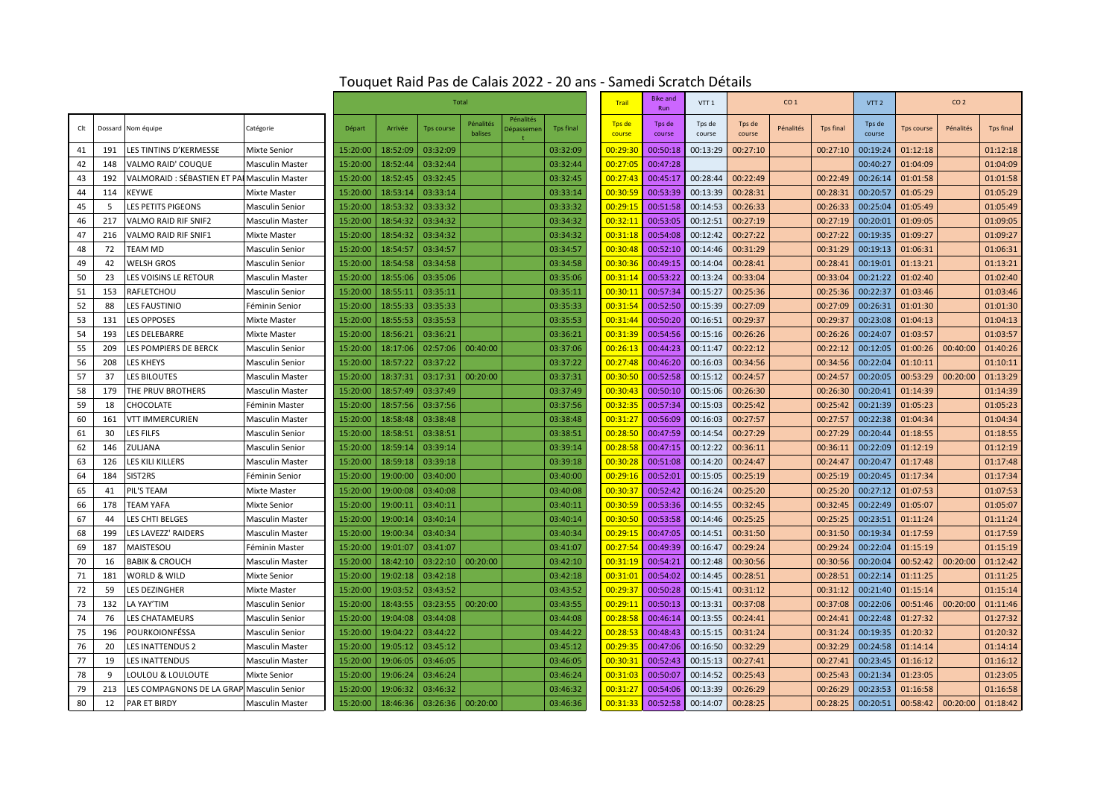|     |     |                                              |                        | <b>Total</b> |          |                   |                      |                         |                  | <b>Trail</b>     | <b>Bike and</b><br>Run | VTT <sub>1</sub> | CO <sub>1</sub>  |           |                  | VTT <sub>2</sub> |                   |           |                  |
|-----|-----|----------------------------------------------|------------------------|--------------|----------|-------------------|----------------------|-------------------------|------------------|------------------|------------------------|------------------|------------------|-----------|------------------|------------------|-------------------|-----------|------------------|
| Clt |     | Dossard Nom équipe                           | Catégorie              | Départ       | Arrivée  | <b>Tps course</b> | Pénalités<br>balises | Pénalités<br>)épassemer | <b>Tps final</b> | Tps de<br>course | Tps de<br>course       | Tps de<br>course | Tps de<br>course | Pénalités | <b>Tps final</b> | Tps de<br>course | <b>Tps course</b> | Pénalités | <b>Tps final</b> |
| 41  | 191 | LES TINTINS D'KERMESSE                       | Mixte Senior           | 15:20:00     | 18:52:09 | 03:32:09          |                      |                         | 03:32:09         | 00:29:30         | 00:50:18               | 00:13:29         | 00:27:10         |           | 00:27:10         | 00:19:24         | 01:12:18          |           | 01:12:18         |
| 42  | 148 | VALMO RAID' COUQUE                           | <b>Masculin Master</b> | 15:20:00     | 18:52:44 | 03:32:44          |                      |                         | 03:32:44         | 00:27:05         | 00:47:28               |                  |                  |           |                  | 00:40:27         | 01:04:09          |           | 01:04:09         |
| 43  | 192 | VALMORAID : SÉBASTIEN ET PAI Masculin Master |                        | 15:20:00     | 18:52:45 | 03:32:45          |                      |                         | 03:32:45         | 00:27:43         | 00:45:17               | 00:28:44         | 00:22:49         |           | 00:22:49         | 00:26:14         | 01:01:58          |           | 01:01:58         |
| 44  | 114 | <b>EYWE</b>                                  | <b>Mixte Master</b>    | 15:20:00     | 18:53:14 | 03:33:14          |                      |                         | 03:33:14         | 00:30:5          | 00:53:39               | 00:13:39         | 00:28:31         |           | 00:28:31         | 00:20:57         | 01:05:29          |           | 01:05:29         |
| 45  | 5   | <b>LES PETITS PIGEONS</b>                    | <b>Masculin Senior</b> | 15:20:00     | 18:53:32 | 03:33:32          |                      |                         | 03:33:32         | 00:29:15         | 00:51:58               | 00:14:53         | 00:26:33         |           | 00:26:33         | 00:25:04         | 01:05:49          |           | 01:05:49         |
| 46  | 217 | <b>VALMO RAID RIF SNIF2</b>                  | <b>Masculin Master</b> | 15:20:00     | 18:54:32 | 03:34:32          |                      |                         | 03:34:32         | 00:32:1          | 00:53:05               | 00:12:51         | 00:27:19         |           | 00:27:19         | 00:20:01         | 01:09:05          |           | 01:09:05         |
| 47  | 216 | VALMO RAID RIF SNIF1                         | Mixte Master           | 15:20:00     | 18:54:32 | 03:34:32          |                      |                         | 03:34:32         | 00:31:18         | 00:54:08               | 00:12:42         | 00:27:22         |           | 00:27:22         | 00:19:35         | 01:09:27          |           | 01:09:27         |
| 48  | 72  | <b>TEAM MD</b>                               | <b>Masculin Senior</b> | 15:20:00     | 18:54:57 | 03:34:57          |                      |                         | 03:34:57         | 00:30:48         | 00:52:10               | 00:14:46         | 00:31:29         |           | 00:31:29         | 00:19:13         | 01:06:31          |           | 01:06:31         |
| 49  | 42  | <b>WELSH GROS</b>                            | <b>Masculin Senior</b> | 15:20:00     | 18:54:58 | 03:34:58          |                      |                         | 03:34:58         | 00:30:3          | 00:49:15               | 00:14:04         | 00:28:41         |           | 00:28:41         | 00:19:01         | 01:13:21          |           | 01:13:21         |
| 50  | 23  | LES VOISINS LE RETOUR                        | <b>Masculin Master</b> | 15:20:00     | 18:55:06 | 03:35:06          |                      |                         | 03:35:06         | 00:31:14         | 00:53:22               | 00:13:24         | 00:33:04         |           | 00:33:04         | 00:21:22         | 01:02:40          |           | 01:02:40         |
| 51  | 153 | <b>RAFLETCHOU</b>                            | <b>Masculin Senior</b> | 15:20:00     | 18:55:11 | 03:35:11          |                      |                         | 03:35:11         | 00:30:1          | 00:57:34               | 00:15:27         | 00:25:36         |           | 00:25:36         | 00:22:37         | 01:03:46          |           | 01:03:46         |
| 52  | 88  | <b>LES FAUSTINIO</b>                         | Féminin Senior         | 15:20:00     | 18:55:33 | 03:35:33          |                      |                         | 03:35:33         | 00:31:54         | 00:52:50               | 00:15:39         | 00:27:09         |           | 00:27:09         | 00:26:31         | 01:01:30          |           | 01:01:30         |
| 53  | 131 | <b>LES OPPOSES</b>                           | <b>Mixte Master</b>    | 15:20:00     | 18:55:53 | 03:35:53          |                      |                         | 03:35:53         | 00:31:44         | 00:50:20               | 00:16:51         | 00:29:37         |           | 00:29:37         | 00:23:08         | 01:04:13          |           | 01:04:13         |
| 54  | 193 | LES DELEBARRE                                | <b>Mixte Master</b>    | 15:20:00     | 18:56:21 | 03:36:21          |                      |                         | 03:36:21         | 00:31:39         | 00:54:56               | 00:15:16         | 00:26:26         |           | 00:26:26         | 00:24:07         | 01:03:57          |           | 01:03:57         |
| 55  | 209 | LES POMPIERS DE BERCK                        | <b>Masculin Senior</b> | 15:20:00     | 18:17:06 | 02:57:06          | 00:40:00             |                         | 03:37:06         | 00:26:13         | 00:44:23               | 00:11:47         | 00:22:12         |           | 00:22:12         | 00:12:05         | 01:00:26          | 00:40:00  | 01:40:26         |
| 56  | 208 | LES KHEYS                                    | <b>Masculin Senior</b> | 15:20:00     | 18:57:22 | 03:37:22          |                      |                         | 03:37:22         | 00:27:48         | 00:46:20               | 00:16:03         | 00:34:56         |           | 00:34:56         | 00:22:04         | 01:10:11          |           | 01:10:11         |
| 57  | 37  | <b>LES BILOUTES</b>                          | <b>Masculin Master</b> | 15:20:00     | 18:37:31 | 03:17:31          | 00:20:00             |                         | 03:37:31         | 00:30:50         | 00:52:58               | 00:15:12         | 00:24:57         |           | 00:24:57         | 00:20:05         | 00:53:29          | 00:20:00  | 01:13:29         |
| 58  | 179 | THE PRUV BROTHERS                            | <b>Masculin Master</b> | 15:20:00     | 18:57:49 | 03:37:49          |                      |                         | 03:37:49         | 00:30:4          | 00:50:10               | 00:15:06         | 00:26:30         |           | 00:26:30         | 00:20:41         | 01:14:39          |           | 01:14:39         |
| 59  | 18  | <b>CHOCOLATE</b>                             | Féminin Master         | 15:20:00     | 18:57:56 | 03:37:56          |                      |                         | 03:37:56         | 00:32:35         | 00:57:34               | 00:15:03         | 00:25:42         |           | 00:25:42         | 00:21:39         | 01:05:23          |           | 01:05:23         |
| 60  | 161 | <b>VTT IMMERCURIEN</b>                       | <b>Masculin Master</b> | 15:20:00     | 18:58:48 | 03:38:48          |                      |                         | 03:38:48         | 00:31:2          | 00:56:09               | 00:16:03         | 00:27:57         |           | 00:27:57         | 00:22:38         | 01:04:34          |           | 01:04:34         |
| 61  | 30  | LES FILFS                                    | <b>Masculin Senior</b> | 15:20:00     | 18:58:51 | 03:38:51          |                      |                         | 03:38:51         | 00:28:50         | 00:47:59               | 00:14:54         | 00:27:29         |           | 00:27:29         | 00:20:44         | 01:18:55          |           | 01:18:55         |
| 62  | 146 | ZULJANA                                      | <b>Masculin Senior</b> | 15:20:00     | 18:59:14 | 03:39:14          |                      |                         | 03:39:14         | 00:28:58         | 00:47:15               | 00:12:22         | 00:36:11         |           | 00:36:11         | 00:22:09         | 01:12:19          |           | 01:12:19         |
| 63  | 126 | LES KILI KILLERS                             | <b>Masculin Master</b> | 15:20:00     | 18:59:18 | 03:39:18          |                      |                         | 03:39:18         | 00:30:2          | 00:51:08               | 00:14:20         | 00:24:47         |           | 00:24:47         | 00:20:47         | 01:17:48          |           | 01:17:48         |
| 64  | 184 | SIST2RS                                      | Féminin Senior         | 15:20:00     | 19:00:00 | 03:40:00          |                      |                         | 03:40:00         | 00:29:16         | 00:52:01               | 00:15:05         | 00:25:19         |           | 00:25:19         | 00:20:45         | 01:17:34          |           | 01:17:34         |
| 65  | 41  | PIL'S TEAM                                   | <b>Mixte Master</b>    | 15:20:00     | 19:00:08 | 03:40:08          |                      |                         | 03:40:08         | 00:30:3          | 00:52:42               | 00:16:24         | 00:25:20         |           | 00:25:20         | 00:27:12         | 01:07:53          |           | 01:07:53         |
| 66  | 178 | <b>TEAM YAFA</b>                             | <b>Mixte Senior</b>    | 15:20:00     | 19:00:11 | 03:40:11          |                      |                         | 03:40:11         | 00:30:59         | 00:53:36               | 00:14:55         | 00:32:45         |           | 00:32:45         | 00:22:49         | 01:05:07          |           | 01:05:07         |
| 67  | 44  | LES CHTI BELGES                              | <b>Masculin Master</b> | 15:20:00     | 19:00:14 | 03:40:14          |                      |                         | 03:40:14         | 00:30:50         | 00:53:58               | 00:14:46         | 00:25:25         |           | 00:25:25         | 00:23:51         | 01:11:24          |           | 01:11:24         |
| 68  | 199 | LES LAVEZZ' RAIDERS                          | <b>Masculin Master</b> | 15:20:00     | 19:00:34 | 03:40:34          |                      |                         | 03:40:34         | 00:29:1          | 00:47:05               | 00:14:51         | 00:31:50         |           | 00:31:50         | 00:19:34         | 01:17:59          |           | 01:17:59         |
| 69  | 187 | <b>MAISTESOU</b>                             | Féminin Master         | 15:20:00     | 19:01:07 | 03:41:07          |                      |                         | 03:41:07         | 00:27:54         | 00:49:39               | 00:16:47         | 00:29:24         |           | 00:29:24         | 00:22:04         | 01:15:19          |           | 01:15:19         |
| 70  | 16  | <b>BABIK &amp; CROUCH</b>                    | <b>Masculin Master</b> | 15:20:00     | 18:42:10 | 03:22:10          | 00:20:00             |                         | 03:42:10         | 00:31:19         | 00:54:21               | 00:12:48         | 00:30:56         |           | 00:30:56         | 00:20:04         | 00:52:42          | 00:20:00  | 01:12:42         |
| 71  | 181 | WORLD & WILD                                 | Mixte Senior           | 15:20:00     | 19:02:18 | 03:42:18          |                      |                         | 03:42:18         | 00:31:03         | 00:54:02               | 00:14:45         | 00:28:51         |           | 00:28:51         | 00:22:14         | 01:11:25          |           | 01:11:25         |
| 72  | 59  | LES DEZINGHER                                | <b>Mixte Master</b>    | 15:20:00     | 19:03:52 | 03:43:52          |                      |                         | 03:43:52         | 00:29:3          | 00:50:28               | 00:15:41         | 00:31:12         |           | 00:31:12         | 00:21:40         | 01:15:14          |           | 01:15:14         |
| 73  | 132 | LA YAY'TIM                                   | <b>Masculin Senior</b> | 15:20:00     | 18:43:55 | 03:23:55          | 00:20:00             |                         | 03:43:55         | 00:29:1          | 00:50:13               | 00:13:31         | 00:37:08         |           | 00:37:08         | 00:22:06         | 00:51:46          | 00:20:00  | 01:11:46         |
| 74  | 76  | LES CHATAMEURS                               | <b>Masculin Senior</b> | 15:20:00     | 19:04:08 | 03:44:08          |                      |                         | 03:44:08         | 00:28:58         | 00:46:14               | 00:13:55         | 00:24:41         |           | 00:24:41         | 00:22:48         | 01:27:32          |           | 01:27:32         |
| 75  | 196 | POURKOIONFÉSSA                               | <b>Masculin Senior</b> | 15:20:00     | 19:04:22 | 03:44:22          |                      |                         | 03:44:22         | 00:28:5          | 00:48:43               | 00:15:15         | 00:31:24         |           | 00:31:24         | 00:19:35         | 01:20:32          |           | 01:20:32         |
| 76  | 20  | LES INATTENDUS 2                             | <b>Masculin Master</b> | 15:20:00     | 19:05:12 | 03:45:12          |                      |                         | 03:45:12         | 00:29:35         | 00:47:06               | 00:16:50         | 00:32:29         |           | 00:32:29         | 00:24:58         | 01:14:14          |           | 01:14:14         |
| 77  | 19  | <b>LES INATTENDUS</b>                        | <b>Masculin Master</b> | 15:20:00     | 19:06:05 | 03:46:05          |                      |                         | 03:46:05         | 00:30:3          | 00:52:43               | 00:15:13         | 00:27:41         |           | 00:27:41         | 00:23:45         | 01:16:12          |           | 01:16:12         |
| 78  | 9   | LOULOU & LOULOUTE                            | Mixte Senior           | 15:20:00     | 19:06:24 | 03:46:24          |                      |                         | 03:46:24         | 00:31:03         | 00:50:07               | 00:14:52         | 00:25:43         |           | 00:25:43         | 00:21:34         | 01:23:05          |           | 01:23:05         |
| 79  | 213 | LES COMPAGNONS DE LA GRAP Masculin Senior    |                        | 15:20:00     | 19:06:32 | 03:46:32          |                      |                         | 03:46:32         | 00:31:2          | 00:54:06               | 00:13:39         | 00:26:29         |           | 00:26:29         | 00:23:53         | 01:16:58          |           | 01:16:58         |
| 80  | 12  | <b>PAR ET BIRDY</b>                          | <b>Masculin Master</b> | 15:20:00     | 18:46:36 | 03:26:36          | 00:20:00             |                         | 03:46:36         | 00:31:33         | 00:52:58               | 00:14:07         | 00:28:25         |           | 00:28:25         | 00:20:51         | 00:58:42          | 00:20:00  | 01:18:42         |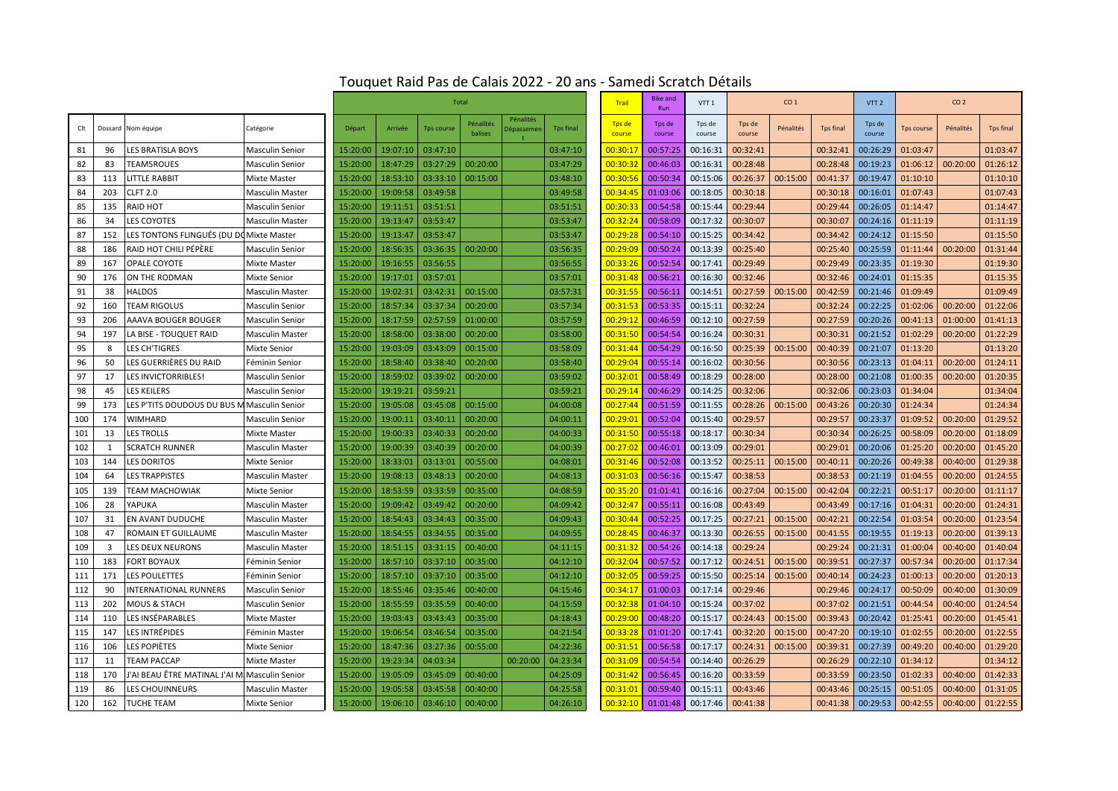|     |         |                                               |                        | <b>Total</b> |          |                   |                      |                         |                  | <b>Trail</b>     | <b>Bike and</b><br>Run | VTT <sub>1</sub> | CO <sub>1</sub>  |           |                  | VTT <sub>2</sub> | CO <sub>2</sub> |           |                  |
|-----|---------|-----------------------------------------------|------------------------|--------------|----------|-------------------|----------------------|-------------------------|------------------|------------------|------------------------|------------------|------------------|-----------|------------------|------------------|-----------------|-----------|------------------|
| Clt | Dossard | Nom équipe                                    | Catégorie              | Départ       | Arrivée  | <b>Tps course</b> | Pénalités<br>balises | Pénalités<br>)épassemei | <b>Tps final</b> | Tps de<br>course | Tps de<br>course       | Tps de<br>course | Tps de<br>course | Pénalités | <b>Tps final</b> | Tps de<br>course | Tps course      | Pénalités | <b>Tps final</b> |
| 81  | 96      | <b>LES BRATISLA BOYS</b>                      | <b>Masculin Senior</b> | 15:20:00     | 19:07:10 | 03:47:10          |                      |                         | 03:47:10         | 00:30:17         | 00:57:25               | 00:16:31         | 00:32:41         |           | 00:32:41         | 00:26:29         | 01:03:47        |           | 01:03:47         |
| 82  | 83      | <b>TEAM5ROUES</b>                             | Masculin Senior        | 15:20:00     | 18:47:29 | 03:27:29          | 00:20:00             |                         | 03:47:29         | 00:30:3          | 00:46:03               | 00:16:31         | 00:28:48         |           | 00:28:48         | 00:19:23         | 01:06:12        | 00:20:00  | 01:26:12         |
| 83  | 113     | ITTLE RABBIT.                                 | <b>Mixte Master</b>    | 15:20:00     | 18:53:10 | 03:33:10          | 00:15:00             |                         | 03:48:10         | 00:30:56         | 00:50:34               | 00:15:06         | 00:26:37         | 00:15:00  | 00:41:37         | 00:19:47         | 01:10:10        |           | 01:10:10         |
| 84  | 203     | <b>CLFT 2.0</b>                               | <b>Masculin Master</b> | 15:20:00     | 19:09:58 | 03:49:58          |                      |                         | 03:49:58         | 00:34:4          | 01:03:06               | 00:18:05         | 00:30:18         |           | 00:30:18         | 00:16:01         | 01:07:43        |           | 01:07:43         |
| 85  | 135     | <b>RAID HOT</b>                               | <b>Masculin Senior</b> | 15:20:00     | 19:11:51 | 03:51:51          |                      |                         | 03:51:51         | 00:30:33         | 00:54:58               | 00:15:44         | 00:29:44         |           | 00:29:44         | 00:26:05         | 01:14:47        |           | 01:14:47         |
| 86  | 34      | <b>LES COYOTES</b>                            | <b>Masculin Master</b> | 15:20:00     | 19:13:47 | 03:53:47          |                      |                         | 03:53:47         | 00:32:24         | 00:58:09               | 00:17:32         | 00:30:07         |           | 00:30:07         | 00:24:16         | 01:11:19        |           | 01:11:19         |
| 87  | 152     | LES TONTONS FLINGUÉS (DU D                    | <b>Mixte Master</b>    | 15:20:00     | 19:13:47 | 03:53:47          |                      |                         | 03:53:47         | 00:29:2          | 00:54:10               | 00:15:25         | 00:34:42         |           | 00:34:42         | 00:24:12         | 01:15:50        |           | 01:15:50         |
| 88  | 186     | RAID HOT CHILI PÉPÈRE                         | <b>Masculin Senior</b> | 15:20:00     | 18:56:35 | 03:36:35          | 00:20:00             |                         | 03:56:35         | 00:29:09         | 00:50:24               | 00:13:39         | 00:25:40         |           | 00:25:40         | 00:25:59         | 01:11:44        | 00:20:00  | 01:31:44         |
| 89  | 167     | <b>OPALE COYOTE</b>                           | <b>Mixte Master</b>    | 15:20:00     | 19:16:55 | 03:56:55          |                      |                         | 03:56:55         | 00:33:26         | 00:52:54               | 00:17:41         | 00:29:49         |           | 00:29:49         | 00:23:35         | 01:19:30        |           | 01:19:30         |
| 90  | 176     | ON THE RODMAN                                 | Mixte Senior           | 15:20:00     | 19:17:01 | 03:57:01          |                      |                         | 03:57:01         | 00:31:48         | 00:56:21               | 00:16:30         | 00:32:46         |           | 00:32:46         | 00:24:01         | 01:15:35        |           | 01:15:35         |
| 91  | 38      | <b>HALDOS</b>                                 | <b>Masculin Master</b> | 15:20:00     | 19:02:31 | 03:42:31          | 00:15:00             |                         | 03:57:31         | 00:31:55         | 00:56:11               | 00:14:51         | 00:27:59         | 00:15:00  | 00:42:59         | 00:21:46         | 01:09:49        |           | 01:09:49         |
| 92  | 160     | <b><i>FEAM RIGOLUS</i></b>                    | <b>Masculin Senior</b> | 15:20:00     | 18:57:34 | 03:37:34          | 00:20:00             |                         | 03:57:34         | 00:31:53         | 00:53:35               | 00:15:11         | 00:32:24         |           | 00:32:24         | 00:22:25         | 01:02:06        | 00:20:00  | 01:22:06         |
| 93  | 206     | AAAVA BOUGER BOUGER                           | <b>Masculin Senior</b> | 15:20:00     | 18:17:59 | 02:57:59          | 01:00:00             |                         | 03:57:59         | 00:29:12         | 00:46:59               | 00:12:10         | 00:27:59         |           | 00:27:59         | 00:20:26         | 00:41:13        | 01:00:00  | 01:41:13         |
| 94  | 197     | LA BISE - TOUQUET RAID                        | <b>Masculin Master</b> | 15:20:00     | 18:58:00 | 03:38:00          | 00:20:00             |                         | 03:58:00         | 00:31:50         | 00:54:54               | 00:16:24         | 00:30:31         |           | 00:30:31         | 00:21:52         | 01:02:29        | 00:20:00  | 01:22:29         |
| 95  | 8       | <b>LES CH'TIGRES</b>                          | <b>Mixte Senior</b>    | 15:20:00     | 19:03:09 | 03:43:09          | 00:15:00             |                         | 03:58:09         | 00:31:44         | 00:54:29               | 00:16:50         | 00:25:39         | 00:15:00  | 00:40:39         | 00:21:07         | 01:13:20        |           | 01:13:20         |
| 96  | 50      | LES GUERRIÈRES DU RAID                        | Féminin Senior         | 15:20:00     | 18:58:40 | 03:38:40          | 00:20:00             |                         | 03:58:40         | 00:29:04         | 00:55:14               | 00:16:02         | 00:30:56         |           | 00:30:56         | 00:23:13         | 01:04:11        | 00:20:00  | 01:24:11         |
| 97  | 17      | <b>LES INVICTORRIBLES!</b>                    | <b>Masculin Senior</b> | 15:20:00     | 18:59:02 | 03:39:02          | 00:20:00             |                         | 03:59:02         | 00:32:0          | 00:58:49               | 00:18:29         | 00:28:00         |           | 00:28:00         | 00:21:08         | 01:00:35        | 00:20:00  | 01:20:35         |
| 98  | 45      | <b>LES KEILERS</b>                            | <b>Masculin Senior</b> | 15:20:00     | 19:19:21 | 03:59:21          |                      |                         | 03:59:21         | 00:29:1          | 00:46:29               | 00:14:25         | 00:32:06         |           | 00:32:06         | 00:23:03         | 01:34:04        |           | 01:34:04         |
| 99  | 173     | LES P'TITS DOUDOUS DU BUS M Masculin Senior   |                        | 15:20:00     | 19:05:08 | 03:45:08          | 00:15:00             |                         | 04:00:08         | 00:27:44         | 00:51:59               | 00:11:55         | 00:28:26         | 00:15:00  | 00:43:26         | 00:20:30         | 01:24:34        |           | 01:24:34         |
| 100 | 174     | <b>WIMHARD</b>                                | <b>Masculin Senior</b> | 15:20:00     | 19:00:11 | 03:40:11          | 00:20:00             |                         | 04:00:11         | 00:29:02         | 00:52:04               | 00:15:40         | 00:29:57         |           | 00:29:57         | 00:23:37         | 01:09:52        | 00:20:00  | 01:29:52         |
| 101 | 13      | <b>LES TROLLS</b>                             | <b>Mixte Master</b>    | 15:20:00     | 19:00:33 | 03:40:33          | 00:20:00             |                         | 04:00:33         | 00:31:5          | 00:55:18               | 00:18:17         | 00:30:34         |           | 00:30:34         | 00:26:25         | 00:58:09        | 00:20:00  | 01:18:09         |
| 102 | 1       | <b>SCRATCH RUNNER</b>                         | <b>Masculin Master</b> | 15:20:00     | 19:00:39 | 03:40:39          | 00:20:00             |                         | 04:00:39         | 00:27:02         | 00:46:01               | 00:13:09         | 00:29:01         |           | 00:29:01         | 00:20:06         | 01:25:20        | 00:20:00  | 01:45:20         |
| 103 | 144     | <b>LES DORITOS</b>                            | Mixte Senior           | 15:20:00     | 18:33:01 | 03:13:01          | 00:55:00             |                         | 04:08:01         | 00:31:46         | 00:52:08               | 00:13:52         | 00:25:11         | 00:15:00  | 00:40:11         | 00:20:26         | 00:49:38        | 00:40:00  | 01:29:38         |
| 104 | 64      | LES TRAPPISTES                                | <b>Masculin Master</b> | 15:20:00     | 19:08:13 | 03:48:13          | 00:20:00             |                         | 04:08:13         | 00:31:03         | 00:56:16               | 00:15:47         | 00:38:53         |           | 00:38:53         | 00:21:19         | 01:04:55        | 00:20:00  | 01:24:55         |
| 105 | 139     | TEAM MACHOWIAK                                | <b>Mixte Senior</b>    | 15:20:00     | 18:53:59 | 03:33:59          | 00:35:00             |                         | 04:08:59         | 00:35:20         | 01:01:41               | 00:16:16         | 00:27:04         | 00:15:00  | 00:42:04         | 00:22:21         | 00:51:17        | 00:20:00  | 01:11:17         |
| 106 | 28      | YAPUKA                                        | <b>Masculin Master</b> | 15:20:00     | 19:09:42 | 03:49:42          | 00:20:00             |                         | 04:09:42         | 00:32:47         | 00:55:11               | 00:16:08         | 00:43:49         |           | 00:43:49         | 00:17:16         | 01:04:31        | 00:20:00  | 01:24:31         |
| 107 | 31      | EN AVANT DUDUCHE                              | <b>Masculin Master</b> | 15:20:00     | 18:54:43 | 03:34:43          | 00:35:00             |                         | 04:09:43         | 00:30:44         | 00:52:25               | 00:17:25         | 00:27:21         | 00:15:00  | 00:42:21         | 00:22:54         | 01:03:54        | 00:20:00  | 01:23:54         |
| 108 | 47      | ROMAIN ET GUILLAUME                           | <b>Masculin Master</b> | 15:20:00     | 18:54:55 | 03:34:55          | 00:35:00             |                         | 04:09:55         | 00:28:4          | 00:46:37               | 00:13:30         | 00:26:55         | 00:15:00  | 00:41:55         | 00:19:55         | 01:19:13        | 00:20:00  | 01:39:13         |
| 109 | 3       | LES DEUX NEURONS                              | <b>Masculin Master</b> | 15:20:00     | 18:51:15 | 03:31:15          | 00:40:00             |                         | 04:11:15         | 00:31:32         | 00:54:26               | 00:14:18         | 00:29:24         |           | 00:29:24         | 00:21:31         | 01:00:04        | 00:40:00  | 01:40:04         |
| 110 | 183     | <b>FORT BOYAUX</b>                            | Féminin Senior         | 15:20:00     | 18:57:10 | 03:37:10          | 00:35:00             |                         | 04:12:10         | 00:32:0          | 00:57:52               | 00:17:12         | 00:24:51         | 00:15:00  | 00:39:51         | 00:27:37         | 00:57:34        | 00:20:00  | 01:17:34         |
| 111 | 171     | LES POULETTES                                 | Féminin Senior         | 15:20:00     | 18:57:10 | 03:37:10          | 00:35:00             |                         | 04:12:10         | 00:32:0          | 00:59:25               | 00:15:50         | 00:25:14         | 00:15:00  | 00:40:14         | 00:24:23         | 01:00:13        | 00:20:00  | 01:20:13         |
| 112 | 90      | <b>INTERNATIONAL RUNNERS</b>                  | <b>Masculin Senior</b> | 15:20:00     | 18:55:46 | 03:35:46          | 00:40:00             |                         | 04:15:46         | 00:34:1          | 01:00:03               | 00:17:14         | 00:29:46         |           | 00:29:46         | 00:24:17         | 00:50:09        | 00:40:00  | 01:30:09         |
| 113 | 202     | <b>MOUS &amp; STACH</b>                       | <b>Masculin Senior</b> | 15:20:00     | 18:55:59 | 03:35:59          | 00:40:00             |                         | 04:15:59         | 00:32:38         | 01:04:10               | 00:15:24         | 00:37:02         |           | 00:37:02         | 00:21:51         | 00:44:54        | 00:40:00  | 01:24:54         |
| 114 | 110     | LES INSÉPARABLES                              | Mixte Master           | 15:20:00     | 19:03:43 | 03:43:43          | 00:35:00             |                         | 04:18:43         | 00:29:00         | 00:48:20               | 00:15:17         | 00:24:43         | 00:15:00  | 00:39:43         | 00:20:42         | 01:25:41        | 00:20:00  | 01:45:41         |
| 115 | 147     | LES INTRÉPIDES                                | Féminin Master         | 15:20:00     | 19:06:54 | 03:46:54          | 00:35:00             |                         | 04:21:54         | 00:33:2          | 01:01:20               | 00:17:41         | 00:32:20         | 00:15:00  | 00:47:20         | 00:19:10         | 01:02:55        | 00:20:00  | 01:22:55         |
| 116 | 106     | LES POPIÈTES                                  | <b>Mixte Senior</b>    | 15:20:00     | 18:47:36 | 03:27:36          | 00:55:00             |                         | 04:22:36         | 00:31:5          | 00:56:58               | 00:17:17         | 00:24:31         | 00:15:00  | 00:39:31         | 00:27:39         | 00:49:20        | 00:40:00  | 01:29:20         |
| 117 | 11      | <b>TEAM PACCAP</b>                            | <b>Mixte Master</b>    | 15:20:00     | 19:23:34 | 04:03:34          |                      | 00:20:00                | 04:23:34         | 00:31:09         | 00:54:54               | 00:14:40         | 00:26:29         |           | 00:26:29         | 00:22:10         | 01:34:12        |           | 01:34:12         |
| 118 | 170     | 'AI BEAU ÊTRE MATINAL J'AI M. Masculin Senior |                        | 15:20:00     | 19:05:09 | 03:45:09          | 00:40:00             |                         | 04:25:09         | 00:31:42         | 00:56:45               | 00:16:20         | 00:33:59         |           | 00:33:59         | 00:23:50         | 01:02:33        | 00:40:00  | 01:42:33         |
| 119 | 86      | LES CHOUINNEURS                               | <b>Masculin Master</b> | 15:20:00     | 19:05:58 | 03:45:58          | 00:40:00             |                         | 04:25:58         | 00:31:01         | 00:59:40               | 00:15:11         | 00:43:46         |           | 00:43:46         | 00:25:15         | 00:51:05        | 00:40:00  | 01:31:05         |
| 120 | 162     | <b>TUCHE TEAM</b>                             | <b>Mixte Senior</b>    | 15:20:00     | 19:06:10 | 03:46:10          | 00:40:00             |                         | 04:26:10         | 00:32:10         | 01:01:48               | 00:17:46         | 00:41:38         |           | 00:41:38         | 00:29:53         | 00:42:55        | 00:40:00  | 01:22:55         |